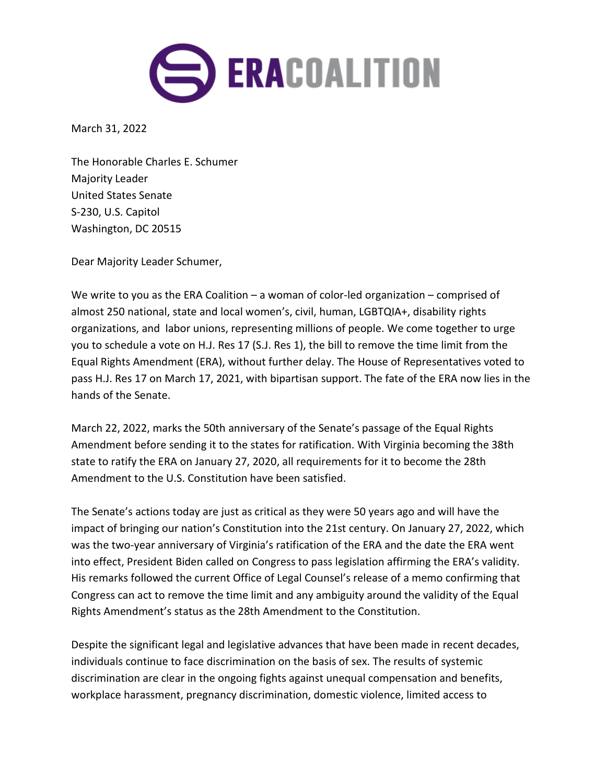

March 31, 2022

The Honorable Charles E. Schumer Majority Leader United States Senate S-230, U.S. Capitol Washington, DC 20515

Dear Majority Leader Schumer,

We write to you as the ERA Coalition – a woman of color-led organization – comprised of almost 250 national, state and local women's, civil, human, LGBTQIA+, disability rights organizations, and labor unions, representing millions of people. We come together to urge you to schedule a vote on H.J. Res 17 (S.J. Res 1), the bill to remove the time limit from the Equal Rights Amendment (ERA), without further delay. The House of Representatives voted to pass H.J. Res 17 on March 17, 2021, with bipartisan support. The fate of the ERA now lies in the hands of the Senate.

March 22, 2022, marks the 50th anniversary of the Senate's passage of the Equal Rights Amendment before sending it to the states for ratification. With Virginia becoming the 38th state to ratify the ERA on January 27, 2020, all requirements for it to become the 28th Amendment to the U.S. Constitution have been satisfied.

The Senate's actions today are just as critical as they were 50 years ago and will have the impact of bringing our nation's Constitution into the 21st century. On January 27, 2022, which was the two-year anniversary of Virginia's ratification of the ERA and the date the ERA went into effect, President Biden called on Congress to pass legislation affirming the ERA's validity. His remarks followed the current Office of Legal Counsel's release of a memo confirming that Congress can act to remove the time limit and any ambiguity around the validity of the Equal Rights Amendment's status as the 28th Amendment to the Constitution.

Despite the significant legal and legislative advances that have been made in recent decades, individuals continue to face discrimination on the basis of sex. The results of systemic discrimination are clear in the ongoing fights against unequal compensation and benefits, workplace harassment, pregnancy discrimination, domestic violence, limited access to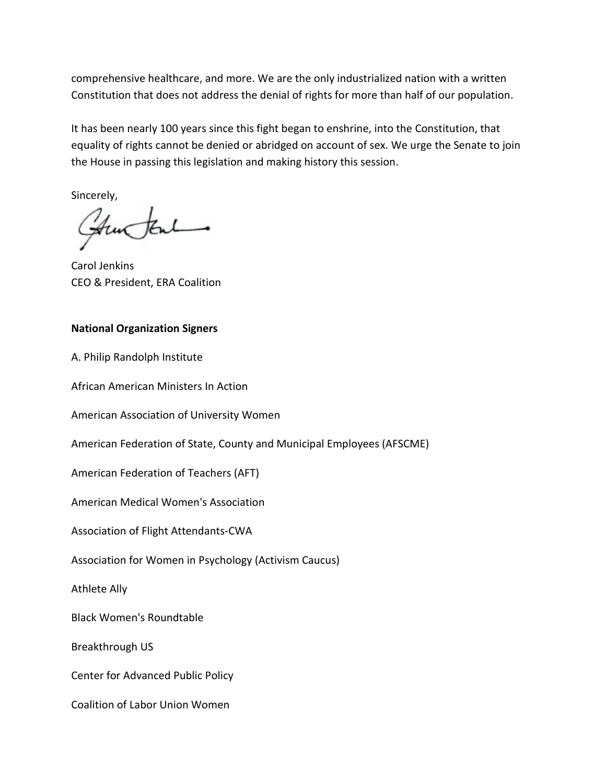comprehensive healthcare, and more. We are the only industrialized nation with a written Constitution that does not address the denial of rights for more than half of our population.

It has been nearly 100 years since this fight began to enshrine, into the Constitution, that equality of rights cannot be denied or abridged on account of sex. We urge the Senate to join the House in passing this legislation and making history this session.

Sincerely,

Church

Carol Jenkins CEO & President, ERA Coalition

## **National Organization Signers**

A. Philip Randolph Institute

African American Ministers In Action

American Association of University Women

American Federation of State, County and Municipal Employees (AFSCME)

American Federation of Teachers (AFT)

American Medical Women's Association

Association of Flight Attendants-CWA

Association for Women in Psychology (Activism Caucus)

Athlete Ally

Black Women's Roundtable

Breakthrough US

Center for Advanced Public Policy

Coalition of Labor Union Women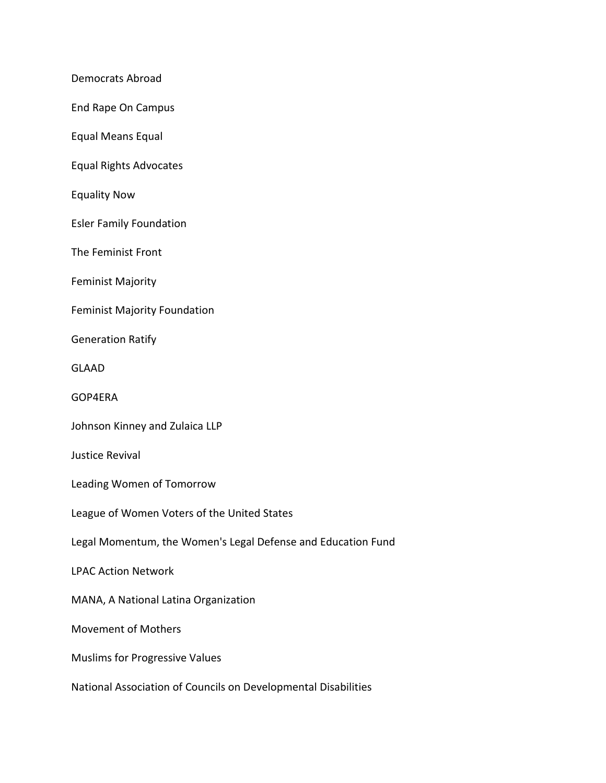Democrats Abroad

End Rape On Campus

Equal Means Equal

Equal Rights Advocates

Equality Now

Esler Family Foundation

The Feminist Front

Feminist Majority

Feminist Majority Foundation

Generation Ratify

GLAAD

GOP4ERA

Johnson Kinney and Zulaica LLP

Justice Revival

Leading Women of Tomorrow

League of Women Voters of the United States

Legal Momentum, the Women's Legal Defense and Education Fund

LPAC Action Network

MANA, A National Latina Organization

Movement of Mothers

Muslims for Progressive Values

National Association of Councils on Developmental Disabilities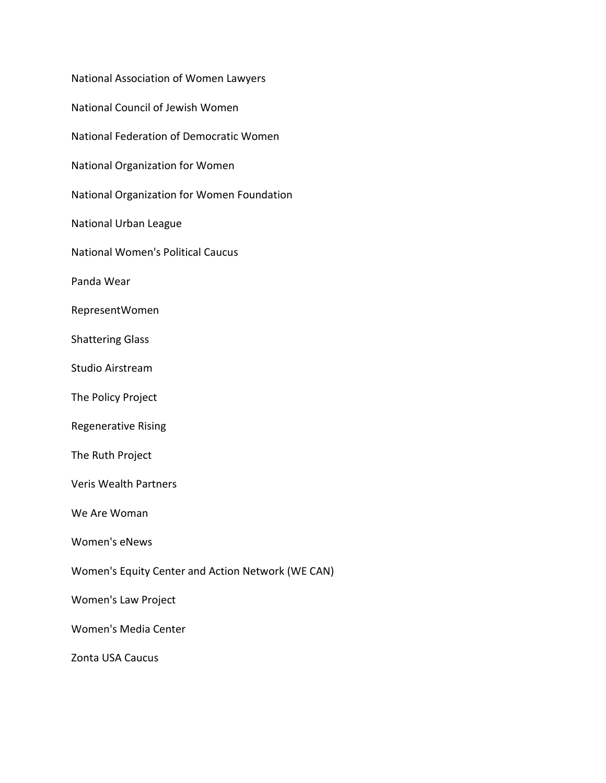| National Association of Women Lawyers             |
|---------------------------------------------------|
| National Council of Jewish Women                  |
| National Federation of Democratic Women           |
| National Organization for Women                   |
| National Organization for Women Foundation        |
| National Urban League                             |
| <b>National Women's Political Caucus</b>          |
| Panda Wear                                        |
| RepresentWomen                                    |
| <b>Shattering Glass</b>                           |
| <b>Studio Airstream</b>                           |
| The Policy Project                                |
| <b>Regenerative Rising</b>                        |
| The Ruth Project                                  |
| <b>Veris Wealth Partners</b>                      |
| We Are Woman                                      |
| Women's eNews                                     |
| Women's Equity Center and Action Network (WE CAN) |
| <b>Women's Law Project</b>                        |
| Women's Media Center                              |
| Zonta USA Caucus                                  |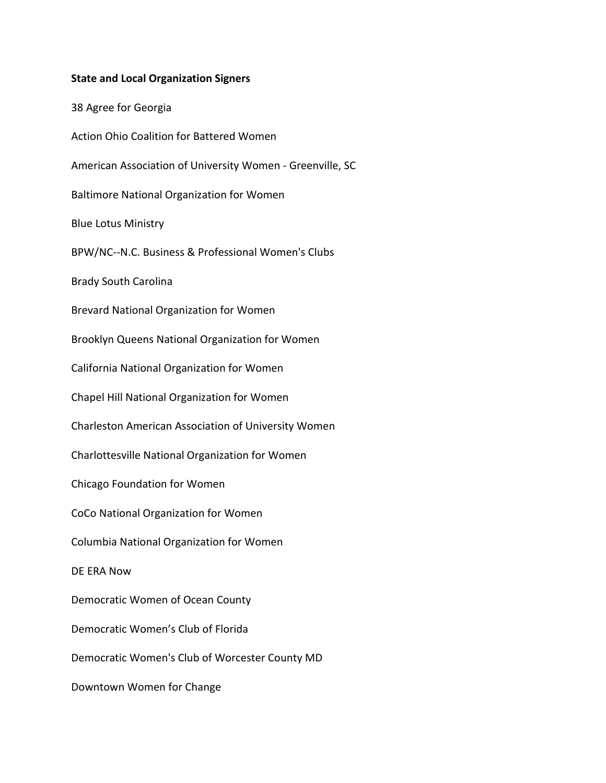## **State and Local Organization Signers**

38 Agree for Georgia Action Ohio Coalition for Battered Women American Association of University Women - Greenville, SC Baltimore National Organization for Women Blue Lotus Ministry BPW/NC--N.C. Business & Professional Women's Clubs Brady South Carolina Brevard National Organization for Women Brooklyn Queens National Organization for Women California National Organization for Women Chapel Hill National Organization for Women Charleston American Association of University Women Charlottesville National Organization for Women Chicago Foundation for Women CoCo National Organization for Women Columbia National Organization for Women DE ERA Now Democratic Women of Ocean County Democratic Women's Club of Florida Democratic Women's Club of Worcester County MD Downtown Women for Change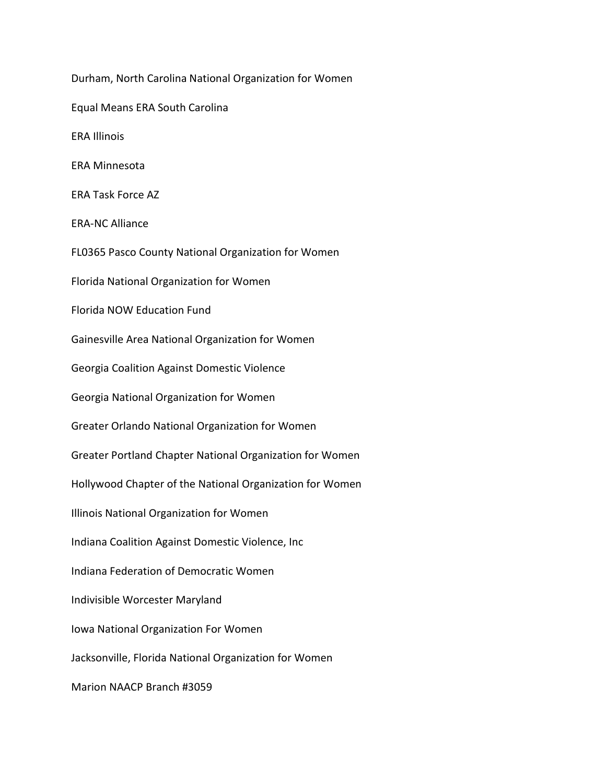Durham, North Carolina National Organization for Women Equal Means ERA South Carolina ERA Illinois ERA Minnesota ERA Task Force AZ ERA-NC Alliance FL0365 Pasco County National Organization for Women Florida National Organization for Women Florida NOW Education Fund Gainesville Area National Organization for Women Georgia Coalition Against Domestic Violence Georgia National Organization for Women Greater Orlando National Organization for Women Greater Portland Chapter National Organization for Women Hollywood Chapter of the National Organization for Women Illinois National Organization for Women Indiana Coalition Against Domestic Violence, Inc Indiana Federation of Democratic Women Indivisible Worcester Maryland Iowa National Organization For Women Jacksonville, Florida National Organization for Women Marion NAACP Branch #3059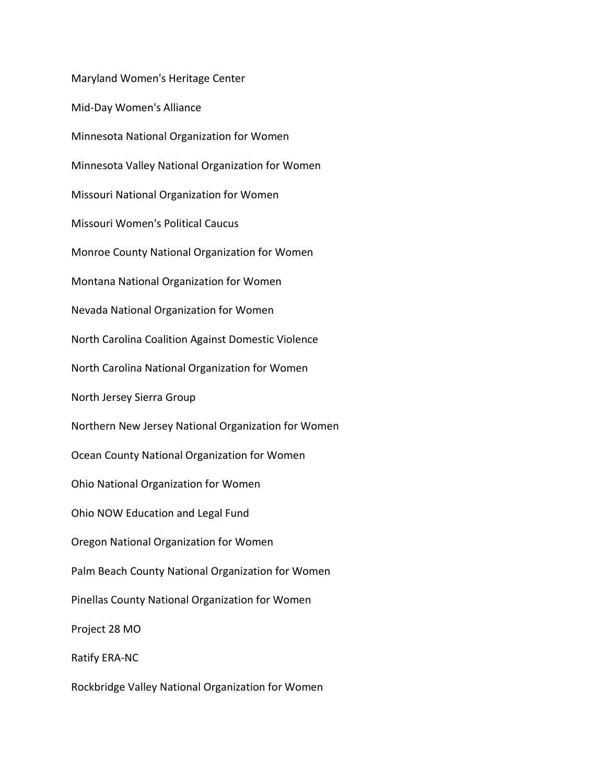Maryland Women's Heritage Center Mid-Day Women's Alliance Minnesota National Organization for Women Minnesota Valley National Organization for Women Missouri National Organization for Women Missouri Women's Political Caucus Monroe County National Organization for Women Montana National Organization for Women Nevada National Organization for Women North Carolina Coalition Against Domestic Violence North Carolina National Organization for Women North Jersey Sierra Group Northern New Jersey National Organization for Women Ocean County National Organization for Women Ohio National Organization for Women Ohio NOW Education and Legal Fund Oregon National Organization for Women Palm Beach County National Organization for Women Pinellas County National Organization for Women Project 28 MO Ratify ERA-NC Rockbridge Valley National Organization for Women